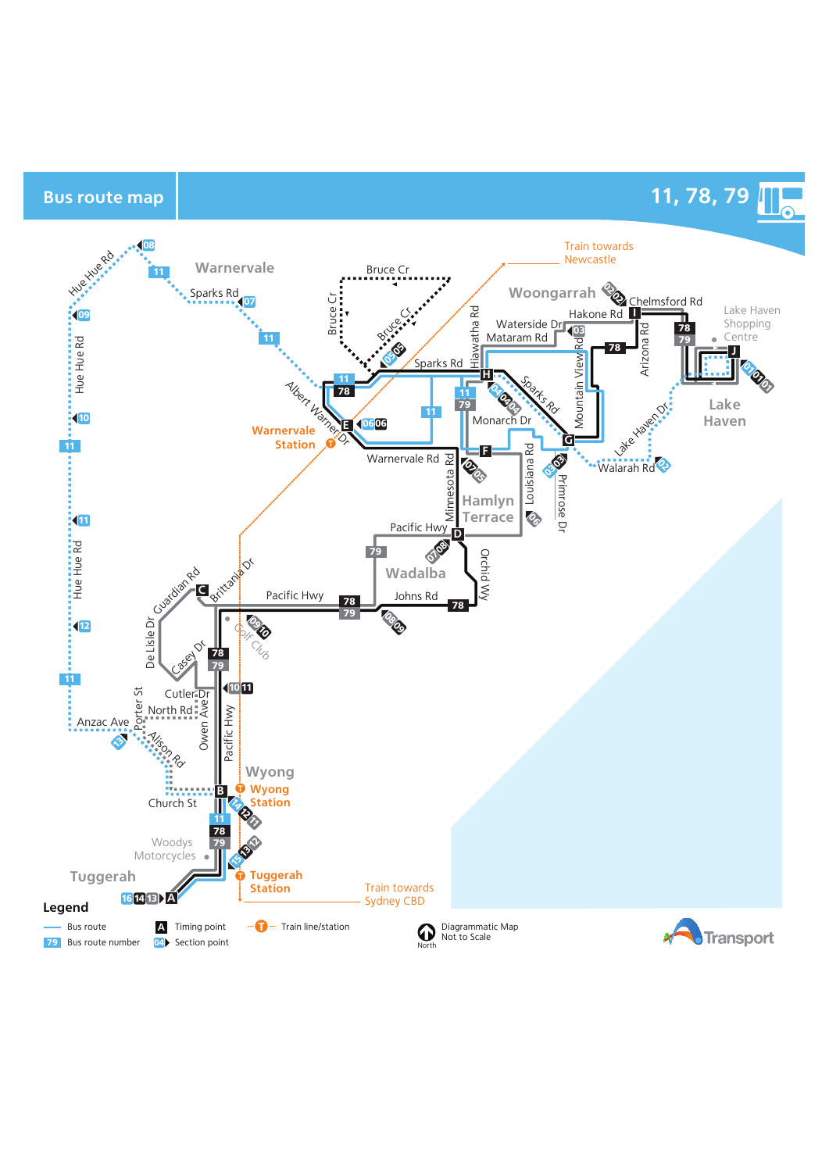Bus route map **11, 78, 79**